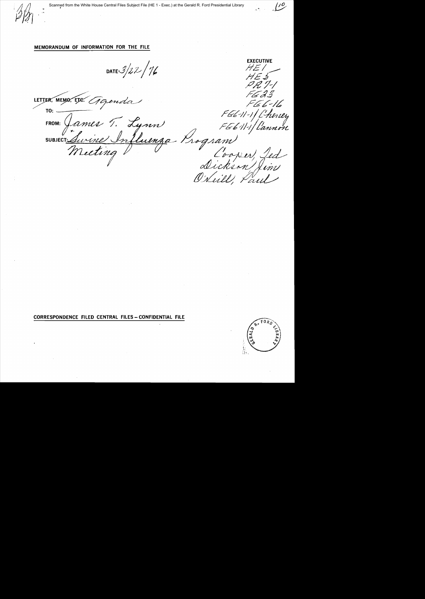#### MEMORANDUM OF INFORMATION FOR THE FILE

DATE  $3/22/76$ 

 $PRI-1$ FE d LETTER, MEMO, ETE Gaenda F66-11-1 | Chersey<br>F6611-1 | Cannon FROM: James Lynn<br>Influenza Program)<br>Cooper, Jed<br>Dickson Jim Meeting

#### CORRESPONDENCE FILED CENTRAL FILES - CONFIDENTIAL FILE



|10

**EXECUTIVE** 

 $H E /$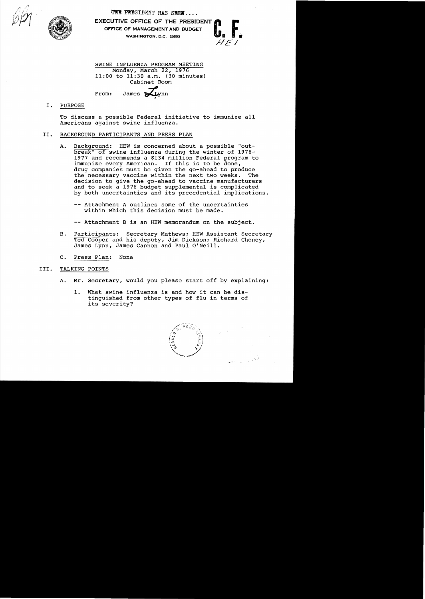



THE PRESIDENT HAS SEEH.... **EXECUTIVE OFFICE OF THE PRESIDENT** OFFICE OF MANAGEMENT AND BUDGET WASHINGTON, D.C. 20503

*HE/* 

SWINE INFLUENZA PROGRAM MEETING Monday, March 22, 1976  $11:00$  to  $11:30$  a.m. (30 minutes) Cabinet Room From: James  $T_{\overline{a}}$ 

I. PURPOSE

To discuss a possible Federal initiative to immunize all Americans against swine influenza.

- II. BACKGROUND PARTICIPANTS AND PRESS PLAN
	- A. Background: HEW is concerned about a possible "outbreak" of swine influenza during the winter of 1976 1977 and recommends a \$134 million Federal program to immunize every American. If this is to be done, drug companies must be given the go-ahead to produce<br>the necessary vaccine within the next two weeks. The the necessary vaccine within the next two weeks. decision to give the go-ahead to vaccine manufacturers and to seek a 1976 budget supplemental is complicated by both uncertainties and its precedential implications.
		- -- Attachment A outlines some of the uncertainties within which this decision must be made.
		- -- Attachment B is an HEW memorandum on the subject.
	- B. Participants: Secretary Mathews; HEW Assistant Secretary Ted Cooper and his deputy, Jim Dickson; Richard Cheney, James Lynn, James Cannon and Paul O'Neill.
	- C. Press Plan: None

#### III. TALKING POINTS

- A. Mr. Secretary, would you please start off by explaining:
	- 1. What swine influenza is and how it can be distinguished from other types of flu in terms of its severity?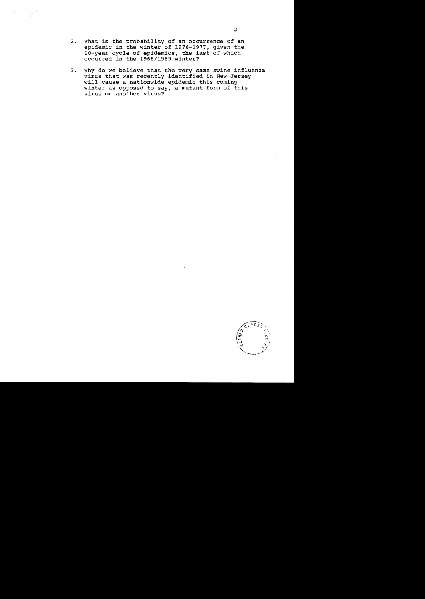- 2. What is the probability of an occurrence of an epidemic in the winter of 1976-1977, given the lo-year cycle of epidemics, the last of which occurred in the 1968/1969 winter?
- 3. Why do we believe that the very same swine influenza virus that was recently identified in New Jersey will cause a nationwide epidemic this coming winter as opposed to say, a mutant form of this virus or another virus?

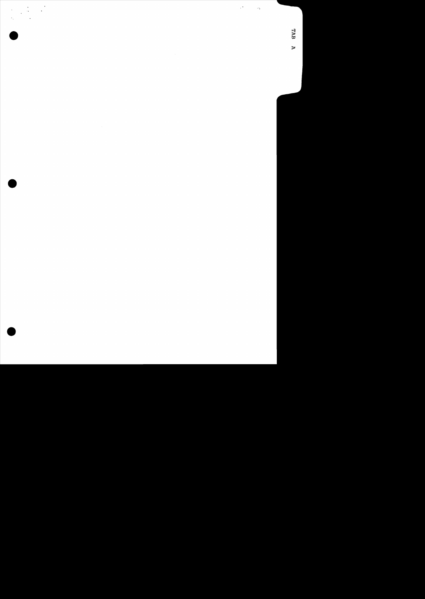

 $\hat{\mathcal{A}}^{(0)}$  , and  $\hat{\mathcal{A}}^{(0)}$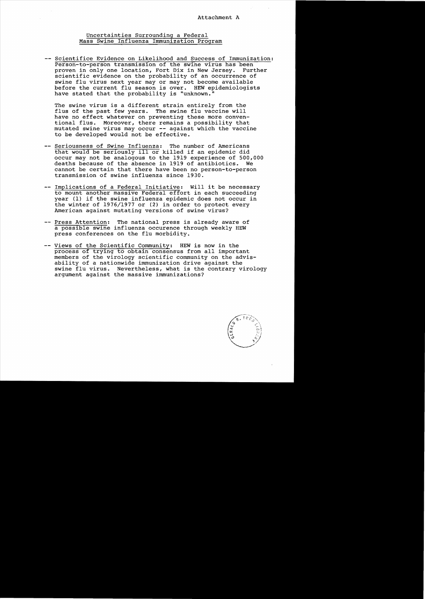#### uncertainties Surrounding a Federal Mass Swine Influenza Immunization Program

-- Scientifice Evidence on Likelihood and Success of Immunization: Person-to-person transmission of the swine virus has been proven in only one location, Fort Dix in New Jersey. Further scientific evidence on the probability of an occurrence of swine flu virus next year mayor may not become available before the current flu season is over. HEW epidemiologists have stated that the probability is "unknown."

The swine virus is a different strain entirely from the flus of the past few years. The swine flu vaccine will have no effect whatever on preventing these more conventional flus. Moreover, there remains a possibility that mutated swine virus may occur -- against which the vaccine to be developed would not be effective.

- -- Seriousness of Swine Influenza: The number of Americans that would be seriously ill or killed if an epidemic did occur may not be analogous to the 1919 experience of 500,000 deaths because of the absence in 1919 of antibiotics. We cannot be certain that there have been no person-to-person transmission of swine influenza since 1930.
- -- Implications of a Federal Initiative: Will it be necessary to mount another massive Federal effort in each succeeding year (1) if the swine influenza epidemic does not occur in the winter of 1976/1977 or (2) in order to protect every American against mutating versions of swine virus?
- -- Press Attention: The national press is already aware of a possible swine influenza occurence through weekly HEW press conferences on the flu morbidity.
- -- Views of the Scientific Community: HEW is now in the process of trying to obtain consensus from all important members of the virology scientific community on the advisability of a nationwide immunization drive against the swine flu virus. Nevertheless, what is the contrary virology argument against the massive immunizations?

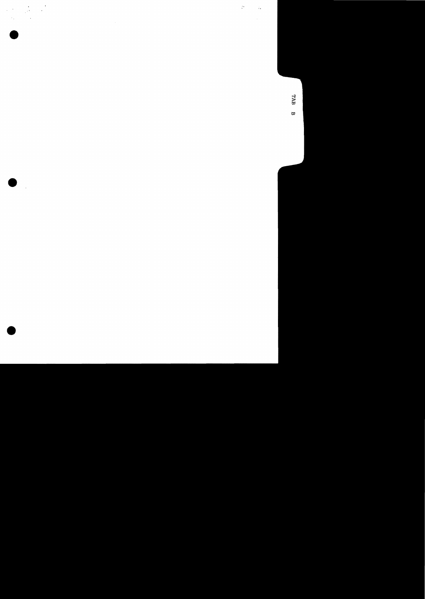# 

 $\frac{1}{2}$ 



**TAB**  $\theta$ 

 $\frac{d\mathbf{r}}{dt} = -\frac{d\mathbf{r}}{dt}$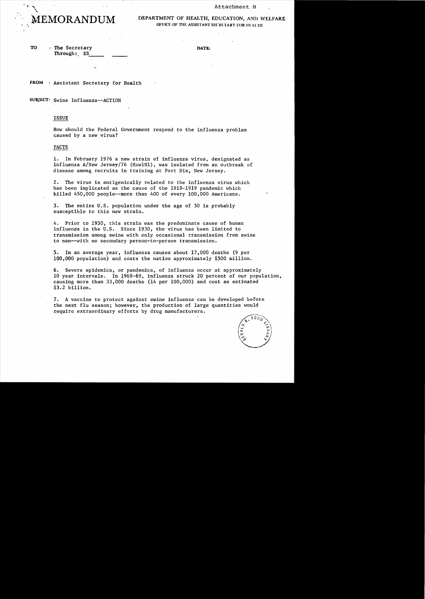## '"

DEPARTMENT OF HEALTH, EDUCATION, AND WELFARE OFFICE OF THE ASSISTANT SECRETARY FOR HEALTH

TO : The Secretary . DATE: Through: ES

FROM : Assistant Secretary for Health

..

SUBJECT: Swine Influenza--ACTION

#### ISSUE

How should the Federal Government respond to the influenza' problem caused by a new virus?

#### FACTS

1. In February 1976 a new strain of influenza virus, designated as influenza A/New Jersey/76 (HswlNl), was isolated from an outbreak of disease among recruits in training at Fort Dix, New Jersey.

2. The virus is antigenically related to the influenza virus which has been implicated as the cause of the 1918-1919 pandemic which killed 450,000 people--more than 400 of every 100,000 Americans.

3. The entire U.S. population under the age of 50 is probably susceptible to this new strain.

4. Prior to 1930, this strain was the predominate cause of human influenza in the U.S. Since 1930, the virus has been limited to transmission among swine with only occasional transmission from swine to man--with no secondary person-to-person transmission.

5. In an average year, influenza causes about 17,000 deaths (9 per 100,000 population) and costs the nation approximately \$500 million.

6. Severe epidemics, or pandemics, of influenza occur at approximately 10 year intervals. In 1968-69, influenza struck 20 percent of our population, causing more than 33,000 deaths (14 per 100,000) and cost an estimated \$3.2 billion.

7. A vaccine to protect against swine influenza can be developed before the next flu season; however, the production of large quantities would require extraordinary efforts by drug manufacturers.

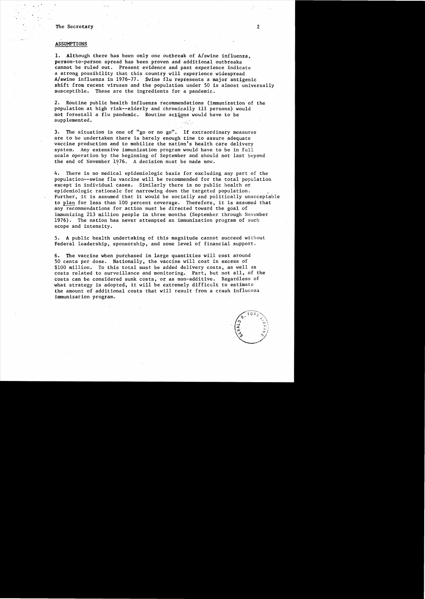#### ASSUMPTIONS

**1.** Although there has been only one outbreak of A/swine influenza, person~to-person spread has been proven and additional outbreaks cannot be ruled out. Present evidence and past experience indicate a strong possibility that this country will experience widespread A/swine influenza in 1976-77. Swine flu represents a major antigenic shift from recent viruses and the population under SO is almost universally susceptible. These are the ingredients for a pandemic.

2. Routine public health influenza recommendations (immunization of the population at high risk--elderly and chronically ill persons) would not forestall a flu pandemic. Routine actions would have to be supplemented. .

3. The situation is one of "go or no go". If extraordinary measures are to be undertaken there is barely enough time to assure adequate vaccine production and to mobilize the nation's health care delivery system. Any extensive immunization program would have to be in full scale operation by the beginning of September and should not last beyond the end of November 1976. A decision must be made now.

4. There is no medical epidemiologic basis for excluding any part of the population--swine flu vaccine will be recommended for the total population except in individual cases. Similarly there is no public health or epidemiologic rationale for narrowing down the targeted population. . Further. it is assumed that it would be socially and politically unacceptable to plan for less than 100 percent coverage. Therefore. it is assumed that any recommendations for action must be directed toward the goal of immunizing 213 million people in three months (September through November 1976). The nation has never attempted an immunization program of such scope and intensity.

5. A public health undertaking of this magnitude cannot succeed without Federal leadership, sponsorship, and some level of financial support.

6. The vaccine when purchased in large quantities will cost around 50 cents per dose. Nationally, the vaccine will cost in excess of \$100 million. To this total must be added delivery costs, as well as costs related to surveillance and monitoring. Part, but not all, of the costs can be considered sunk costs, or as non-additive. Regardless of what strategy is adopted, it will be extremely difficult to estimate the amount of additional costs that will result from a crash influenza immunization program.

 $(0, 1)$ *O:T.'* ~  $\mathbf{1}_{2}$ , t 51"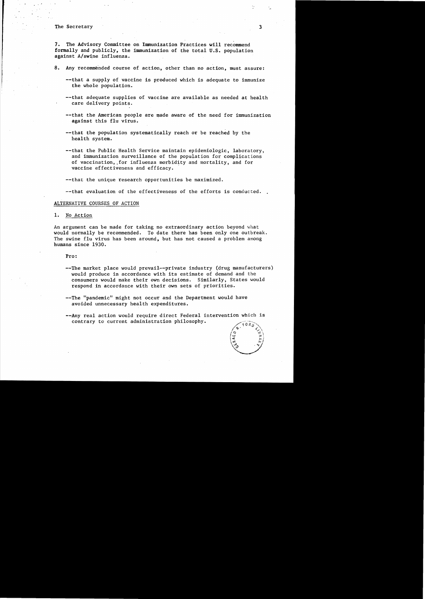**7.** The Advisory Committee on Immunization Practices will recommend formally and publicly, the immunization of the total U.S. population against A/swine influenza.

- 8. Any recommended course of action, other than no action, must assure:
	- --that a supply of vaccine is produced which is adequate to immunize the whole population.
	- --that adequate supplies of vaccine are available as needed at health care delivery points.
	- --that the American people are made aware of the need for immunization against this flu virus.
	- --that the population systematically reach or be reached by the health system.
	- --that the Public Health Service maintain epidemiologic, laboratory, and immunization surveillance of the population for complications of vaccination, .for influenza morbidity and mortality, and for vaccine effectiveness and efficacy. .

--that the unique research opportunities be maximized.

--that evaluation of the effectiveness of the efforts is conducted.

#### ALTERNATIVE COURSES OF ACTION

#### 1. No Action

An argument can be made for taking no extraordinary action beyond what would normally be recommended. To date there has been only one outbreak. The swine flu virus has been around, but has not caused a problem among humans since 1930.

Pro:

- --The market place would prevail--private industry (drug manufacturers) would produce in accordance with its estimate of demand and the consumers would make their own decisions. Similarly, States would respond in accordance with their own sets of priorities.
- --The "pandemic" might not occur and the Department would have avoided unnecessary health expenditures.
- --Any real action would require direct Federal intervention which is contrary to current administration philosophy.

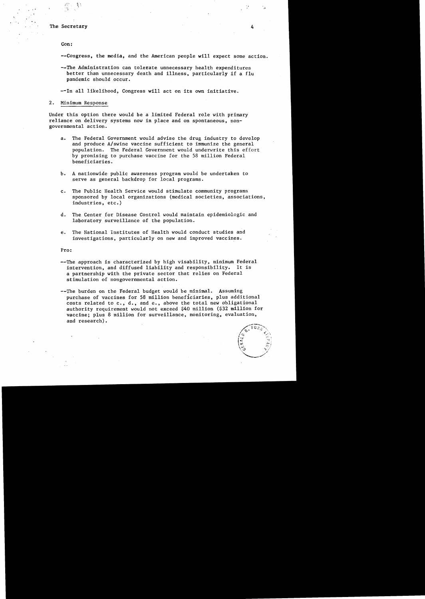Con:

--Congress, the media, and the American people will expect some action.

--The Administration can tolerate unnecessary health expenditures better than unnecessary death and illness, particularly if a flu pandemic should occur.

--In all likelihood, Congress will act on its own initiative.

#### 2. Minimum Response

Under this option there would be a limited Federal role with primary reliance on delivery systems now in place and on spontaneous, nongovernmental action.

- a. The Federal Government would advise the drug industry to develop and produce A/swine vaccine sufficient to immunize the general population. The Federal Government would undenvrite this effort by promising to purchase vaccine for the 58 million Federal beneficiaries.
- b. A nationwide public awareness program would be undertaken to serve as general backdrop for local programs.
- c. The Public Health Service would stimulate community programs sponsored by local organizations (medical societies, associations, industries, etc.)
- d. The Center for Disease Control would maintain epidemiologic and laboratory surveillance of the population.
- e. The National Institutes of Health would conduct studies and investigations, particularly on new and improved vaccines.

Pro:

- --The approach is characterized by high visability, minimum Federal intervention, and diffused liability and responsibility. It is a partnership with the private sector that relies on Federal stimulation of nongovernmental action.
- --The burden on the Federal budget would be minimal. Assuming purchase of vaccines for 58 million beneficiaries, plus additional costs related to  $c., d.,$  and  $e.,$  above the total new obligational authority requirement would not exceed \$40 million (\$32 million for vaccine; plus 8 million for surveillance, monitoring, evaluation, and research).

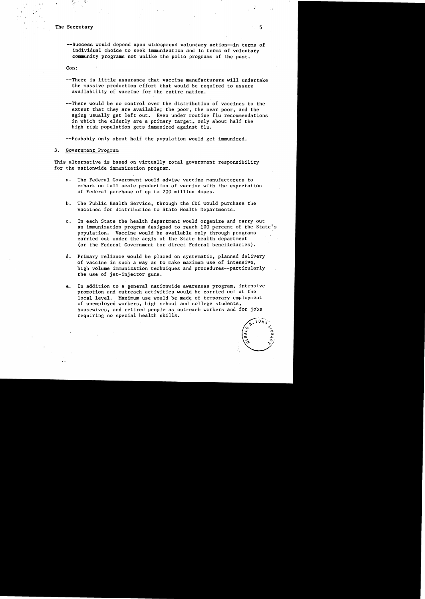", .,

--Success would depend upon widespread voluntary action--in terms of individual choice to seek immunization and in terms of voluntary community programs not unlike the polio programs of the past.

, . .'

Con:

- --There is little assurance that vaccine manufacturers will undertake the massive production effort that would be required to assure availability of vaccine for the entire nation.
- --There would be no control over the distribution of vaccines to the extent that they are available; the poor, the near poor, and the aging usually get left out. Even under routine flu recommendations in which the elderly are a primary target, only about half the high risk population gets immunized against flu.

--Probably only about half the population would get immunized.

#### 3. Government Program

This alternative is based on virtually total government responsibility for the nationwide immunization program.

- a. The Federal Government would advise vaccine manufacturers to embark on full scale production of vaccine with the expectation of Federal purchase of up to 200 million doses.
- b. The Public Health Service, through the CDC would purchase the vaccines for distribution to State Health Departments.
- c. In each State the health department would organize and carry out an immunization program designed to reach 100 percent of the State's population. Vaccine would be available only through programs carried out under the aegis of the State health department (or the Federal Government for direct Federal beneficiaries).
- d. Primary reliance would be placed on systematic, planned delivery of vaccine in such a way as to make maximum use of intensive, high volume immunization techniques and procedures--particularly the use of jet-injector guns.
- e. In addition to a general nationwide awareness program, intensive promotion and outreach activities would be carried out at the local level. Maximum use would be made of temporary employment of unemployed workers, high school and college students, housewives, and retired people as outreach workers and for jobs requiring no special health skills.

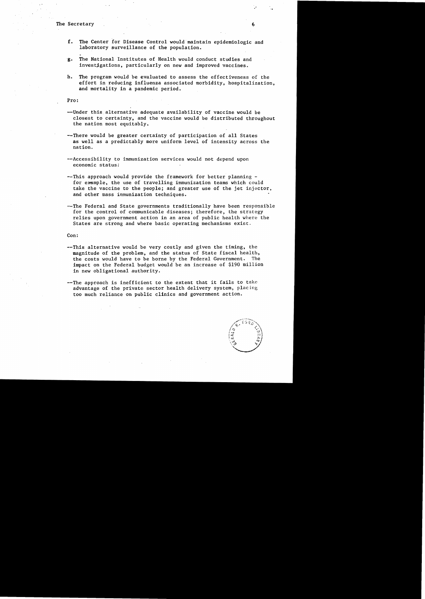- f. The Center for Disease Control would maintain epidemiologic and laboratory surveillance of the population.
- g. The National Institutes of Health would conduct studies and investigations, particularly on new and improved vaccines.
- h. The program would be evaluated to assess the effectiveness of the effort in reducing influenza associated morbidity, hospitalization, and mortality in a pandemic period.

#### Pro:

- --Under this alternative adequate availability of vaccine would be closest to certainty, and the vaccine would be distributed throughout the nation most equitably.
- --There would be greater certainty of participation of all States as well as a predictably more uniform level of intensity across the nation.
- --Accessibility to immunization services would not depend upon economic status:
- --This approach would provide the framework for better planning for example, the use of travelling immunization teams which could take the vaccine to the people; and greater use of the jet injector. and other mass immunization techniques.
- --The Federal and State governments traditionally have been responsible for the control of communicable diseases; therefore, the strategy relies upon government action in an area of public health where the States are strong and where basic operating mechanisms exist.

#### Con:

- --This alternative would be very costly and given the timing, the magnitude of the problem, and the status of State fiscal health, the costs would have to be borne by the Federal Government. The impact on the Federal budget would be an increase of \$190 million in new obligational authority.
- --The approach is inefficient to the extent that it fails to take advantage of the private sector health delivery system, placing too much reliance on public clinics and government action.

·'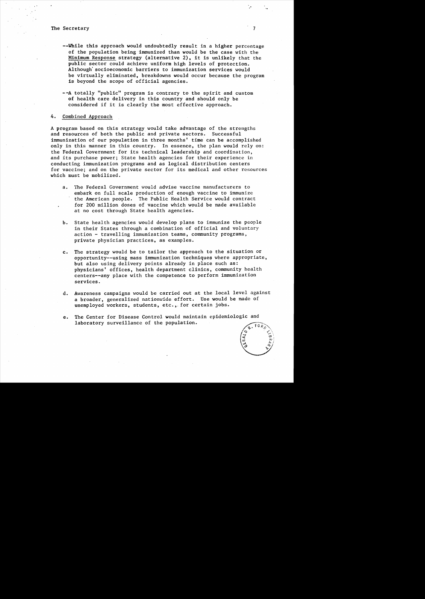#### The Secretary 7 and 2008 and 2008 and 2008 and 2008 and 2008 and 2008 and 2008 and 2008 and 2008 and 2008 and 2008 and 2008 and 2008 and 2008 and 2008 and 2008 and 2008 and 2008 and 2008 and 2008 and 2008 and 2008 and 2008

- --While this approach would undoubtedly result in a higher percentage of the population being immunized than would be the case with the Minimum Response strategy (alternative 2), it is unlikely that the public sector could achieve uniform high levels of protection. Although' socioeconomic barriers to immunization services would be virtually eliminated, breakdowns would occur because the program is beyond the scope of official agencies.
- --A totally "public" program is contrary to the spirit and custom of health care delivery in this country and should only be considered if it is clearly the most effective approach.

#### 4. Combined Approach

A program based on this strategy would take advantage of the strengths and resources of both the public and private sectors. Successful immunization of our population in three months' time can be accomplished only in this manner in this country. In essence, the plan would rely on: the Federal Government for its technical leadership and coordination, and its purchase power; State health agencies for their experience in conducting immunization programs and as logical distribution centers for vaccine; and on the private sector for its medical and other resources which must be mobilized.

- a. The Federal Government would advise vaccine manufacturers to embark on full scale production of enough vaccine to immunize the American people. The Public Health Service would contract for 200 million doses of vaccine which would be made available at no cost through State health agencies.
- b. State health agencies would develop plans to immunize the people in their States through a combination of official and voluntary action - travelling immunization teams, community programs, private physician practices, as examples.
- c. The strategy would be to tailor the approach to the situation or opportunity--using mass immunization techniques where appropriate, but also using delivery points already in place such as: physicians' offices, health department clinics, community health centers--any place with the competence to perform immunization services.
- d. Awareness campaigns would be carried out at the local level against a broader, generalized nationwide effort. Use would be made of unemployed workers, students, etc.,. for certain jobs.
- e. The Center for Disease Control would maintain epidemiologic and laboratory surveillance of the population.



.'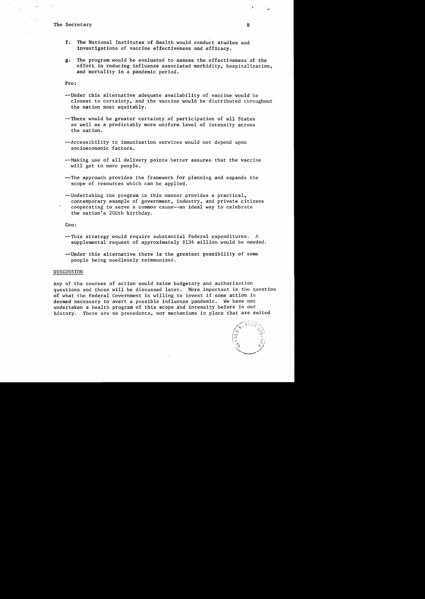- f. The National Institutes of Health would conduct studies and investigations of vaccine effectiveness and efficacy.
- g. The program would be evaluated to assess the effectiveness of the effort in reducing influenza associated morbidity, hospitalization, and mortality in a pandemic period.

Pro:

- --Under this alternative adequate availability of vaccine would be closest to certainty, and the vaccine would be distributed throughout the nation most equitably.
- --There would be greater certainty of participation of all States as well as a predictably more uniform level of intensity across the nation.
- --Accessibility to immunization services would not depend upon socioeconomic factors.
- --Making use of all delivery points better assures that the vaccine will get to more people.
- --The approach provides the framework for planning and expands the scope of resources which can be applied.
- -~Undertaking the program in this manner provides a practical, contemporary example of government, industry, and private citizens cooperating to serve a common cause--an ideal way to celebrate the nation's 200th birthday.

Con:

- --This strategy would require substantial Federal expenditures. A supplemental request of approximately \$134 million would be needed.
- --Under this alternative there is the greatest possibility of some people being needlessly reimmunized.

#### DISCUSSION

Any of the courses of action would raise budgetary and authorization questions and these will be discussed later. More important is the question of what the Federal Government is willing to invest if some action is deemed necessary to avert a possible influenza pandemic. We have not undertaken a health program of this scope gnd intensity before in our history. There are no precedents, nor mechanisms in place that are suited

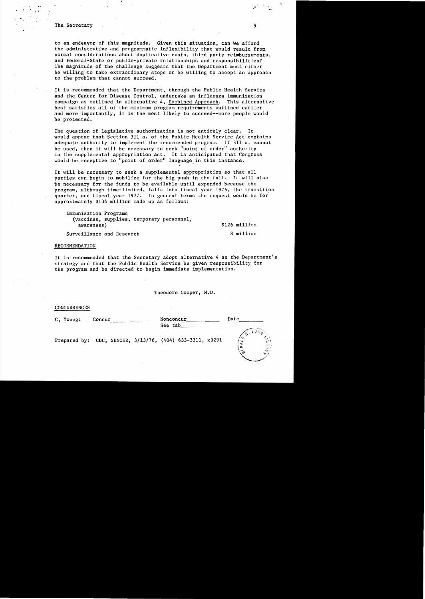to an endeavor of this magnitude. Given this situation, can we afford the administrative and programmatic inflexibility that would result from normal considerations about duplicative costs, third party reimbursements, and Federal-State or public-private relationships and responsibilities? The magnitude pf the challenge suggests that the Department must either be willing to take extraordinary steps or be willing to accept an approach to the problem that cannot succeed.

. The contract of the contract of the contract of the contract of the contract of the contract of the contract of the contract of the contract of the contract of the contract of the contract of the contract of the contrac , and the contract of the contract of the contract of the contract of the contract of the contract of the contract of the contract of the contract of the contract of the contract of the contract of the contract of the con

It is recommended that the Department, through the Public Health Service and the Center for Disease Control, undertake an influenza immunization campaign as outlined in alternative 4, Combined Approach. This alternative best satisfies all of the .minimum program requirements outlined earlier and more importantly, it is the most likely to succeed--more people would be protected.

The question of legislative authorization is not entirely clear. It would appear that Section 311 a. of the Public Health Service Act contains adequate authority to implement the recommended program. If 311 a. cannot be used, then it will be necessary to seek "point of order" authority in the supplemental appropriation act. It is anticipated that Congress would be receptive to "point of order" language in this instance.

It will be necessary to seek a supplemental appropriation so that all parties can begin to mobilize for the big push in the fall. It will also be necessary for the funds to be available until expended because the program, although time-limited, falls into fiscal year 1976, the transition quarter, and fiscal year 1977. In general terms the request would be for approximately \$134 million made up as follows:

| Immunization Programs                     |                |
|-------------------------------------------|----------------|
| (vaccines, supplies, temporary personnel, |                |
| awareness)                                | $$126$ million |
| Surveillance and Research                 | 8 million      |

#### RECOMMENDATION

It is recommended that the Secretary adopt alternative 4 as the Department's strategy and that the Public Health Service be given responsibility for the program and be directed to begin immediate implementation.

Theodore Cooper, M.D.

#### **CONCURRENCES**

Prepared by: CDC, SENCER, 3/13/76, (404) 633-3311, x3291

------- ------  $\frac{\text{ur}}{\text{ur}}$ C, Young: Concur **Concured and Conconcure C** Date See tab